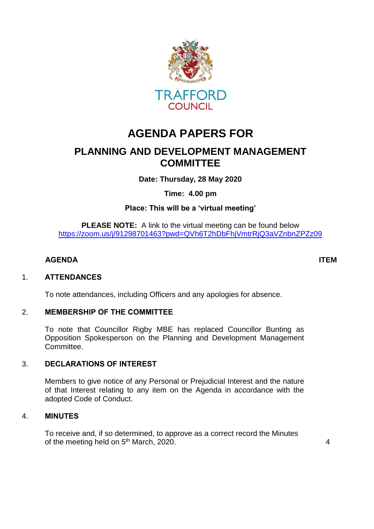

# **AGENDA PAPERS FOR**

# **PLANNING AND DEVELOPMENT MANAGEMENT COMMITTEE**

**Date: Thursday, 28 May 2020**

**Time: 4.00 pm**

**Place: This will be a 'virtual meeting'**

**PLEASE NOTE:** A link to the virtual meeting can be found below <https://zoom.us/j/91298701463?pwd=QVh6T2hDbFhjVmtrRjQ3aVZnbnZPZz09>

## **AGENDA ITEM**

#### 1. **ATTENDANCES**

To note attendances, including Officers and any apologies for absence.

#### 2. **MEMBERSHIP OF THE COMMITTEE**

To note that Councillor Rigby MBE has replaced Councillor Bunting as Opposition Spokesperson on the Planning and Development Management Committee.

#### 3. **DECLARATIONS OF INTEREST**

Members to give notice of any Personal or Prejudicial Interest and the nature of that Interest relating to any item on the Agenda in accordance with the adopted Code of Conduct.

## 4. **MINUTES**

To receive and, if so determined, to approve as a correct record the Minutes of the meeting held on 5<sup>th</sup> March, 2020. 4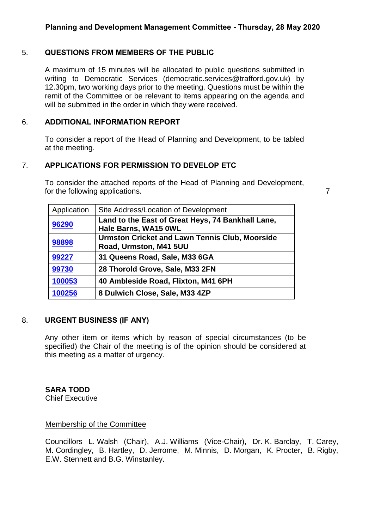# 5. **QUESTIONS FROM MEMBERS OF THE PUBLIC**

A maximum of 15 minutes will be allocated to public questions submitted in writing to Democratic Services (democratic.services@trafford.gov.uk) by 12.30pm, two working days prior to the meeting. Questions must be within the remit of the Committee or be relevant to items appearing on the agenda and will be submitted in the order in which they were received.

# 6. **ADDITIONAL INFORMATION REPORT**

To consider a report of the Head of Planning and Development, to be tabled at the meeting.

## 7. **APPLICATIONS FOR PERMISSION TO DEVELOP ETC**

To consider the attached reports of the Head of Planning and Development, for the following applications.

| Application | Site Address/Location of Development                                            |
|-------------|---------------------------------------------------------------------------------|
| 96290       | Land to the East of Great Heys, 74 Bankhall Lane,<br>Hale Barns, WA15 OWL       |
| 98898       | <b>Urmston Cricket and Lawn Tennis Club, Moorside</b><br>Road, Urmston, M41 5UU |
| 99227       | 31 Queens Road, Sale, M33 6GA                                                   |
| 99730       | 28 Thorold Grove, Sale, M33 2FN                                                 |
| 100053      | 40 Ambleside Road, Flixton, M41 6PH                                             |
| 100256      | 8 Dulwich Close, Sale, M33 4ZP                                                  |

#### 8. **URGENT BUSINESS (IF ANY)**

Any other item or items which by reason of special circumstances (to be specified) the Chair of the meeting is of the opinion should be considered at this meeting as a matter of urgency.

**SARA TODD** Chief Executive

## Membership of the Committee

Councillors L. Walsh (Chair), A.J. Williams (Vice-Chair), Dr. K. Barclay, T. Carey, M. Cordingley, B. Hartley, D. Jerrome, M. Minnis, D. Morgan, K. Procter, B. Rigby, E.W. Stennett and B.G. Winstanley.

7